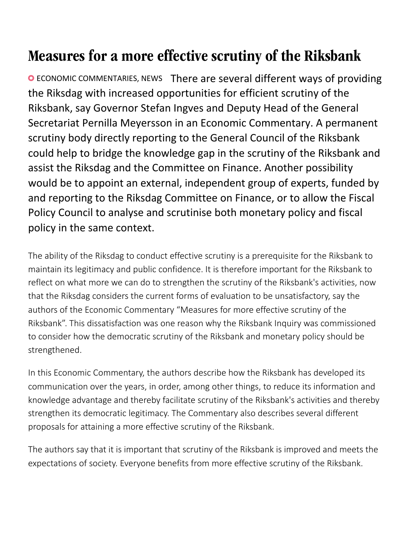## Measures for a more effective scrutiny of the Riksbank

ECONOMIC COMMENTARIES, NEWS There are several different ways of providing the Riksdag with increased opportunities for efficient scrutiny of the Riksbank, say Governor Stefan Ingves and Deputy Head of the General Secretariat Pernilla Meyersson in an Economic Commentary. A permanent scrutiny body directly reporting to the General Council of the Riksbank could help to bridge the knowledge gap in the scrutiny of the Riksbank and assist the Riksdag and the Committee on Finance. Another possibility would be to appoint an external, independent group of experts, funded by and reporting to the Riksdag Committee on Finance, or to allow the Fiscal Policy Council to analyse and scrutinise both monetary policy and fiscal policy in the same context.

The ability of the Riksdag to conduct effective scrutiny is a prerequisite for the Riksbank to maintain its legitimacy and public confidence. It is therefore important for the Riksbank to reflect on what more we can do to strengthen the scrutiny of the Riksbank's activities, now that the Riksdag considers the current forms of evaluation to be unsatisfactory, say the authors of the Economic Commentary "Measures for more effective scrutiny of the Riksbank". This dissatisfaction was one reason why the Riksbank Inquiry was commissioned to consider how the democratic scrutiny of the Riksbank and monetary policy should be strengthened.

In this Economic Commentary, the authors describe how the Riksbank has developed its communication over the years, in order, among other things, to reduce its information and knowledge advantage and thereby facilitate scrutiny of the Riksbank's activities and thereby strengthen its democratic legitimacy. The Commentary also describes several different proposals for attaining a more effective scrutiny of the Riksbank.

The authors say that it is important that scrutiny of the Riksbank is improved and meets the expectations of society. Everyone benefits from more effective scrutiny of the Riksbank.